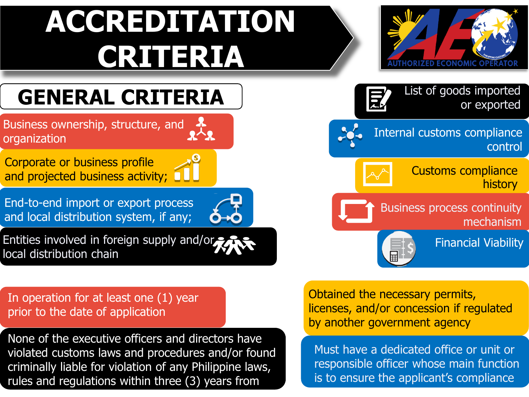# **ACCREDITATION CRITERIA**



Business process continuity

Internal customs compliance

Customs compliance

List of goods imported

mechanism

Financial Viability

history

control

or exported

## **GENERAL CRITERIA**

Business ownership, structure, and organization

Corporate or business profile and projected business activity;  $\Box$ 

End-to-end import or export process and local distribution system, if any;

Entities involved in foreign supply and/or local distribution chain

In operation for at least one (1) year prior to the date of application

None of the executive officers and directors have violated customs laws and procedures and/or found criminally liable for violation of any Philippine laws, rules and regulations within three (3) years from

Obtained the necessary permits, licenses, and/or concession if regulated by another government agency

Must have a dedicated office or unit or responsible officer whose main function is to ensure the applicant's compliance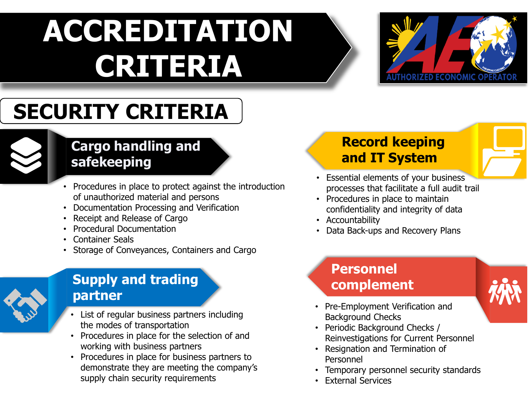# **ACCREDITATION CRITERIA**



## **SECURITY CRITERIA**



#### **Cargo handling and safekeeping**

- Procedures in place to protect against the introduction of unauthorized material and persons
- Documentation Processing and Verification
- Receipt and Release of Cargo
- Procedural Documentation
- Container Seals
- Storage of Conveyances, Containers and Cargo



#### **Supply and trading partner**

- List of regular business partners including the modes of transportation
- Procedures in place for the selection of and working with business partners
- Procedures in place for business partners to demonstrate they are meeting the company's supply chain security requirements

### **Record keeping and IT System**

- Essential elements of your business processes that facilitate a full audit trail
- Procedures in place to maintain confidentiality and integrity of data
- Accountability
- Data Back-ups and Recovery Plans

### **Personnel complement**



- Pre-Employment Verification and Background Checks
- Periodic Background Checks / Reinvestigations for Current Personnel
- Resignation and Termination of Personnel
- Temporary personnel security standards
- External Services